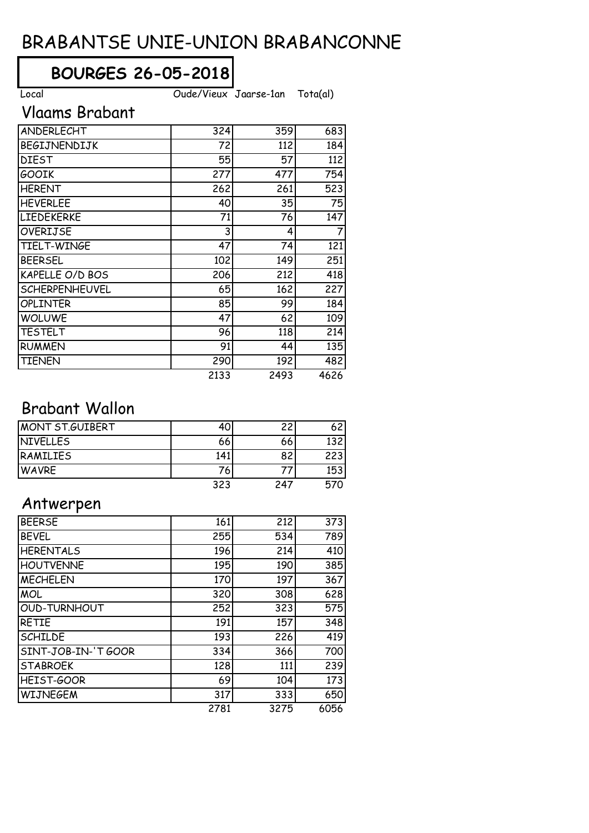# BRABANTSE UNIE-UNION BRABANCONNE

## **BOURGES 26-05-2018**

Local Oude/Vieux Jaarse-1an Tota(al)

### Vlaams Brabant

| ANDERLECHT            | 324  | 359  | 683  |
|-----------------------|------|------|------|
| BEGIJNENDIJK          | 72   | 112  | 184  |
| <b>DIEST</b>          | 55   | 57   | 112  |
| <b>GOOIK</b>          | 277  | 477  | 754  |
| <b>HERENT</b>         | 262  | 261  | 523  |
| <b>HEVERLEE</b>       | 40   | 35   | 75   |
| <b>LIEDEKERKE</b>     | 71   | 76   | 147  |
| <b>OVERIJSE</b>       | 3    | 4    | 7    |
| TIELT-WINGE           | 47   | 74   | 121  |
| <b>BEERSEL</b>        | 102  | 149  | 251  |
| KAPELLE O/D BOS       | 206  | 212  | 418  |
| <b>SCHERPENHEUVEL</b> | 65   | 162  | 227  |
| <b>OPLINTER</b>       | 85   | 99   | 184  |
| <b>WOLUWE</b>         | 47   | 62   | 109  |
| <b>TESTELT</b>        | 96   | 118  | 214  |
| <b>RUMMEN</b>         | 91   | 44   | 135  |
| <b>TIENEN</b>         | 290  | 192  | 482  |
|                       | 2133 | 2493 | 4626 |

### Brabant Wallon

| MONT ST.GUIBERT |     |     | 62               |
|-----------------|-----|-----|------------------|
| NIVELLES        | 66  | 66  | 132 <sub>1</sub> |
| RAMILIES        | 141 |     | 223              |
| <b>WAVRE</b>    | 76  |     | 153              |
|                 | 323 | 247 | 570              |

#### Antwerpen

| <b>BEERSE</b>       | 161  | 212  | 373  |
|---------------------|------|------|------|
| <b>BEVEL</b>        | 255  | 534  | 789  |
| <b>HERENTALS</b>    | 196  | 214  | 410  |
| <b>HOUTVENNE</b>    | 195  | 190  | 385  |
| <b>MECHELEN</b>     | 170  | 197  | 367  |
| <b>MOL</b>          | 320  | 308  | 628  |
| <b>OUD-TURNHOUT</b> | 252  | 323  | 575  |
| <b>RETIE</b>        | 191  | 157  | 348  |
| <b>SCHILDE</b>      | 193  | 226  | 419  |
| SINT-JOB-IN-'T GOOR | 334  | 366  | 700  |
| <b>STABROEK</b>     | 128  | 111  | 239  |
| HEIST-GOOR          | 69   | 104  | 173  |
| <b>WIJNEGEM</b>     | 317  | 333  | 650  |
|                     | 2781 | 3275 | 6056 |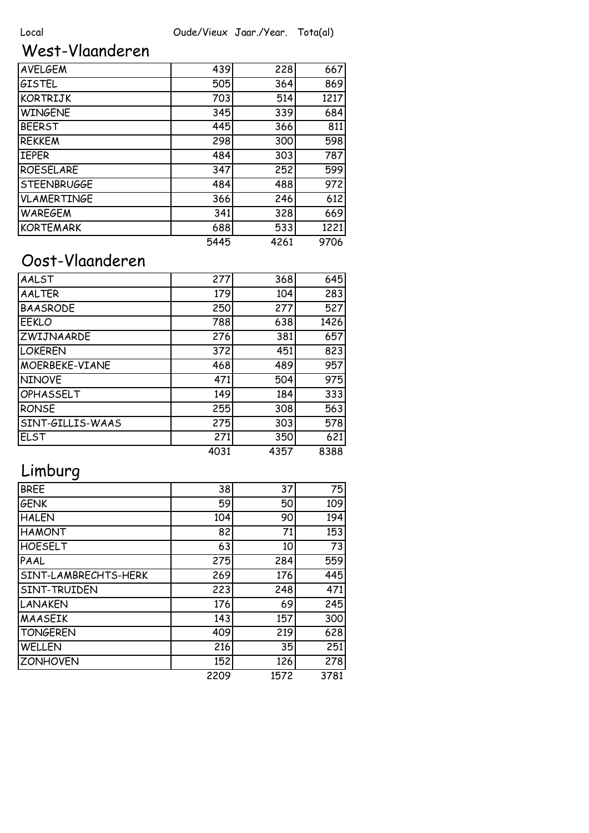## West-Vlaanderen

| <b>AVELGEM</b>     | 439  | 228  | 667  |
|--------------------|------|------|------|
| <b>GISTEL</b>      | 505  | 364  | 869  |
| <b>KORTRIJK</b>    | 703  | 514  | 1217 |
| <b>WINGENE</b>     | 345  | 339  | 684  |
| <b>BEERST</b>      | 445  | 366  | 811  |
| <b>REKKEM</b>      | 298  | 300  | 598  |
| <b>IEPER</b>       | 484  | 303  | 787  |
| <b>ROESELARE</b>   | 347  | 252  | 599  |
| <b>STEENBRUGGE</b> | 484  | 488  | 972  |
| <b>VLAMERTINGE</b> | 366  | 246  | 612  |
| <b>WAREGEM</b>     | 341  | 328  | 669  |
| <b>KORTEMARK</b>   | 688  | 533  | 1221 |
|                    | 5445 | 4261 | 9706 |

## Oost-Vlaanderen

| AALST            | 277  | 368  | 645  |
|------------------|------|------|------|
| <b>AALTER</b>    | 179  | 104  | 283  |
| <b>BAASRODE</b>  | 250  | 277  | 527  |
| <b>EEKLO</b>     | 788  | 638  | 1426 |
| ZWIJNAARDE       | 276  | 381  | 657  |
| <b>LOKEREN</b>   | 372  | 451  | 823  |
| MOERBEKE-VIANE   | 468  | 489  | 957  |
| <b>NINOVE</b>    | 471  | 504  | 975  |
| OPHASSELT        | 149  | 184  | 333  |
| <b>RONSE</b>     | 255  | 308  | 563  |
| SINT-GILLIS-WAAS | 275  | 303  | 578  |
| <b>ELST</b>      | 271  | 350  | 621  |
|                  | 4031 | 4357 | 8388 |

## Limburg

| <b>BREE</b>          | 38   | 37   | 75   |
|----------------------|------|------|------|
| <b>GENK</b>          | 59   | 50   | 109  |
| <b>HALEN</b>         | 104  | 90   | 194  |
| <b>HAMONT</b>        | 82   | 71   | 153  |
| <b>HOESELT</b>       | 63   | 10   | 73   |
| PAAL                 | 275  | 284  | 559  |
| SINT-LAMBRECHTS-HERK | 269  | 176  | 445  |
| SINT-TRUIDEN         | 223  | 248  | 471  |
| <b>LANAKEN</b>       | 176  | 69   | 245  |
| <b>MAASEIK</b>       | 143  | 157  | 300  |
| <b>TONGEREN</b>      | 409  | 219  | 628  |
| <b>WELLEN</b>        | 216  | 35   | 251  |
| <b>ZONHOVEN</b>      | 152  | 126  | 278  |
|                      | 2209 | 1572 | 3781 |